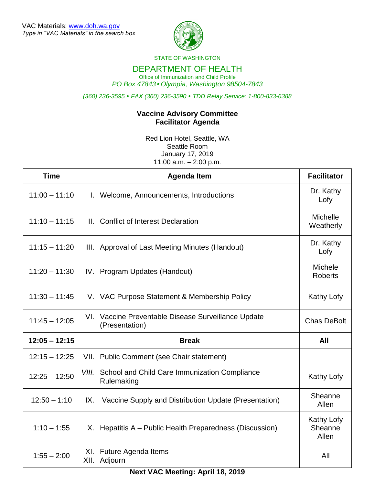

STATE OF WASHINGTON

## DEPARTMENT OF HEALTH

Office of Immunization and Child Profile *PO Box 47843 Olympia, Washington 98504-7843*

*(360) 236-3595 FAX (360) 236-3590 TDD Relay Service: 1-800-833-6388*

## **Vaccine Advisory Committee Facilitator Agenda**

Red Lion Hotel, Seattle, WA Seattle Room January 17, 2019 11:00 a.m. – 2:00 p.m.

| <b>Time</b>     | <b>Agenda Item</b>                                                       | <b>Facilitator</b>                    |
|-----------------|--------------------------------------------------------------------------|---------------------------------------|
| $11:00 - 11:10$ | I. Welcome, Announcements, Introductions                                 | Dr. Kathy<br>Lofy                     |
| $11:10 - 11:15$ | II. Conflict of Interest Declaration                                     | <b>Michelle</b><br>Weatherly          |
| $11:15 - 11:20$ | III. Approval of Last Meeting Minutes (Handout)                          | Dr. Kathy<br>Lofy                     |
| $11:20 - 11:30$ | IV. Program Updates (Handout)                                            | Michele<br><b>Roberts</b>             |
| $11:30 - 11:45$ | V. VAC Purpose Statement & Membership Policy                             | Kathy Lofy                            |
| $11:45 - 12:05$ | VI. Vaccine Preventable Disease Surveillance Update<br>(Presentation)    | <b>Chas DeBolt</b>                    |
| $12:05 - 12:15$ | <b>Break</b>                                                             | All                                   |
| $12:15 - 12:25$ | VII. Public Comment (see Chair statement)                                |                                       |
| $12:25 - 12:50$ | <b>VIII.</b> School and Child Care Immunization Compliance<br>Rulemaking | Kathy Lofy                            |
| $12:50 - 1:10$  | Vaccine Supply and Distribution Update (Presentation)<br>IX.             | Sheanne<br>Allen                      |
| $1:10 - 1:55$   | X. Hepatitis A - Public Health Preparedness (Discussion)                 | <b>Kathy Lofy</b><br>Sheanne<br>Allen |
| $1:55 - 2:00$   | XI. Future Agenda Items<br>XII. Adjourn                                  | All                                   |